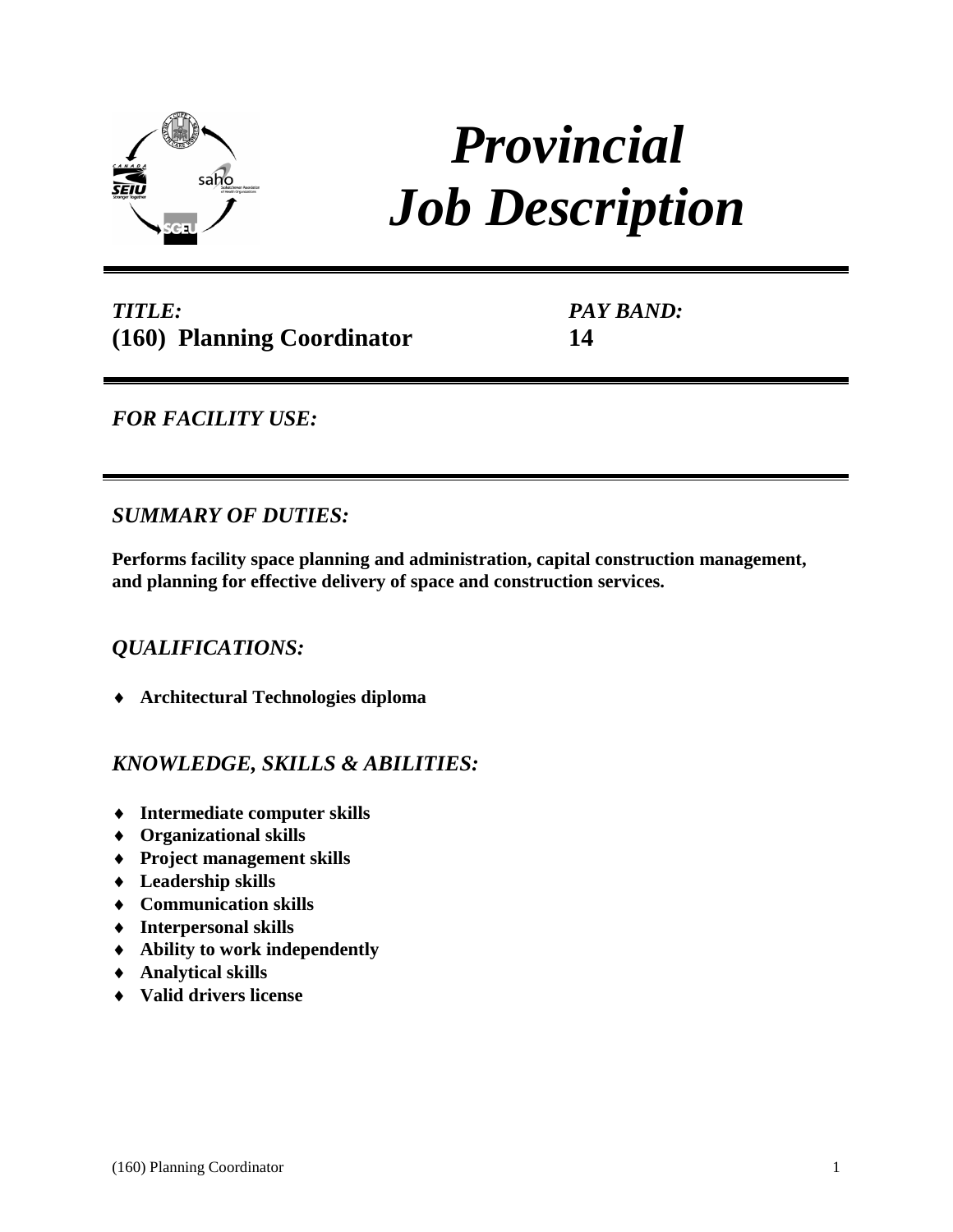

# *Provincial Job Description*

# *TITLE:* **(160) Planning Coordinator**

*PAY BAND:* **14**

# *FOR FACILITY USE:*

## *SUMMARY OF DUTIES:*

**Performs facility space planning and administration, capital construction management, and planning for effective delivery of space and construction services.**

## *QUALIFICATIONS:*

**Architectural Technologies diploma** 

## *KNOWLEDGE, SKILLS & ABILITIES:*

- **Intermediate computer skills**
- **Organizational skills**
- **Project management skills**
- **Leadership skills**
- **Communication skills**
- **Interpersonal skills**
- **Ability to work independently**
- **Analytical skills**
- **Valid drivers license**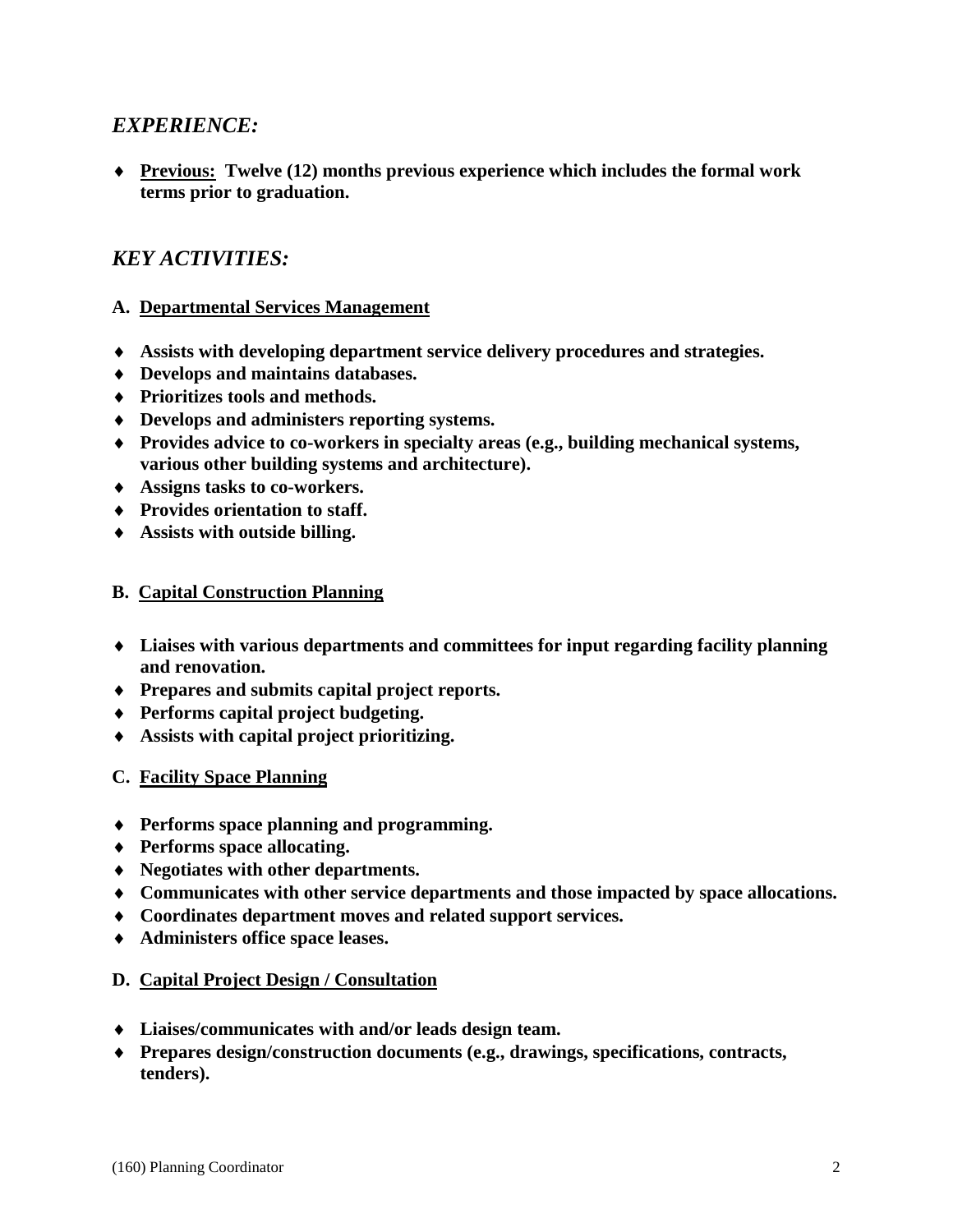#### *EXPERIENCE:*

 **Previous: Twelve (12) months previous experience which includes the formal work terms prior to graduation.** 

## *KEY ACTIVITIES:*

#### **A. Departmental Services Management**

- **Assists with developing department service delivery procedures and strategies.**
- **Develops and maintains databases.**
- **Prioritizes tools and methods.**
- **Develops and administers reporting systems.**
- **Provides advice to co-workers in specialty areas (e.g., building mechanical systems, various other building systems and architecture).**
- **Assigns tasks to co-workers.**
- **Provides orientation to staff.**
- **Assists with outside billing.**

#### **B. Capital Construction Planning**

- **Liaises with various departments and committees for input regarding facility planning and renovation.**
- **Prepares and submits capital project reports.**
- **Performs capital project budgeting.**
- **Assists with capital project prioritizing.**
- **C. Facility Space Planning**
- **Performs space planning and programming.**
- **Performs space allocating.**
- **Negotiates with other departments.**
- **Communicates with other service departments and those impacted by space allocations.**
- **Coordinates department moves and related support services.**
- **Administers office space leases.**

#### **D. Capital Project Design / Consultation**

- **Liaises/communicates with and/or leads design team.**
- **Prepares design/construction documents (e.g., drawings, specifications, contracts, tenders).**